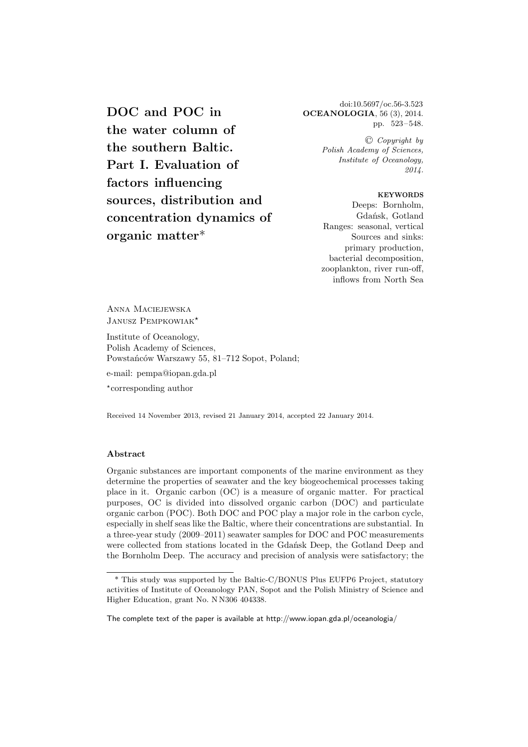**DOC and POC in the water column of the southern Baltic. Part I. Evaluation of factors influencing sources, distribution and concentration dynamics of organic matter**\*

doi:10.5697/oc.56-3.523 **OCEANOLOGIA**, 56 (3), 2014. pp. 523–548.

> C *Copyright by Polish Academy of Sciences, Institute of Oceanology, 2014.*

> > **KEYWORDS**

Deeps: Bornholm, Gdańsk, Gotland Ranges: seasonal, vertical Sources and sinks: primary production, bacterial decomposition, zooplankton, river run-off, inflows from North Sea

Anna Maciejewska JANUSZ PEMPKOWIAK<sup>\*</sup>

Institute of Oceanology, Polish Academy of Sciences, Powstańców Warszawy 55, 81–712 Sopot, Poland;

e-mail: pempa@iopan.gda.pl

⋆ corresponding author

Received 14 November 2013, revised 21 January 2014, accepted 22 January 2014.

## **Abstract**

Organic substances are important components of the marine environment as they determine the properties of seawater and the key biogeochemical processes taking place in it. Organic carbon (OC) is a measure of organic matter. For practical purposes, OC is divided into dissolved organic carbon (DOC) and particulate organic carbon (POC). Both DOC and POC play a major role in the carbon cycle, especially in shelf seas like the Baltic, where their concentrations are substantial. In a three-year study (2009–2011) seawater samples for DOC and POC measurements were collected from stations located in the Gdańsk Deep, the Gotland Deep and the Bornholm Deep. The accuracy and precision of analysis were satisfactory; the

<sup>\*</sup> This study was supported by the Baltic-C/BONUS Plus EUFP6 Project, statutory activities of Institute of Oceanology PAN, Sopot and the Polish Ministry of Science and Higher Education, grant No. N N306 404338.

The complete text of the paper is available at http://www.iopan.gda.pl/oceanologia/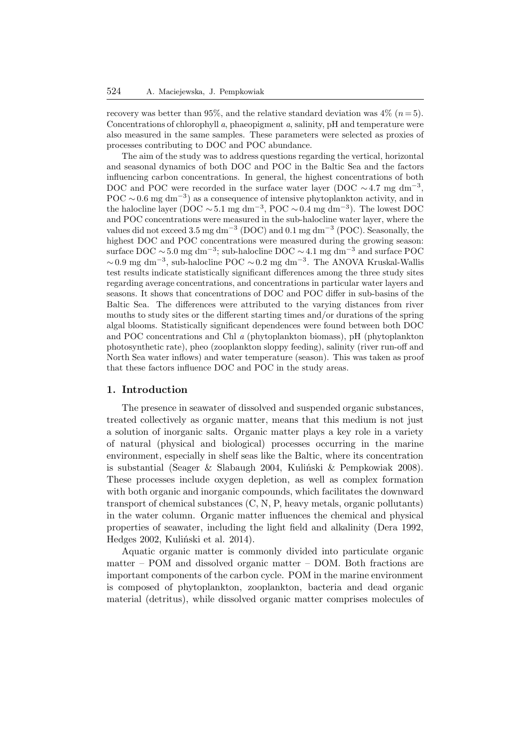recovery was better than 95%, and the relative standard deviation was  $4\%$  ( $n = 5$ ). Concentrations of chlorophyll *a*, phaeopigment *a*, salinity, pH and temperature were also measured in the same samples. These parameters were selected as proxies of processes contributing to DOC and POC abundance.

The aim of the study was to address questions regarding the vertical, horizontal and seasonal dynamics of both DOC and POC in the Baltic Sea and the factors influencing carbon concentrations. In general, the highest concentrations of both DOC and POC were recorded in the surface water layer (DOC  $\sim 4.7$  mg dm<sup>-3</sup>, POC ~ 0.6 mg dm<sup>-3</sup>) as a consequence of intensive phytoplankton activity, and in the halocline layer (DOC ~5.1 mg dm<sup>-3</sup>, POC ~0.4 mg dm<sup>-3</sup>). The lowest DOC and POC concentrations were measured in the sub-halocline water layer, where the values did not exceed 3.5 mg dm<sup>-3</sup> (DOC) and 0.1 mg dm<sup>-3</sup> (POC). Seasonally, the highest DOC and POC concentrations were measured during the growing season: surface DOC ∼ 5.0 mg dm−<sup>3</sup> ; sub-halocline DOC ∼ 4.1 mg dm−<sup>3</sup> and surface POC  $\sim 0.9$  mg dm<sup>-3</sup>, sub-halocline POC  $\sim 0.2$  mg dm<sup>-3</sup>. The ANOVA Kruskal-Wallis test results indicate statistically significant differences among the three study sites regarding average concentrations, and concentrations in particular water layers and seasons. It shows that concentrations of DOC and POC differ in sub-basins of the Baltic Sea. The differences were attributed to the varying distances from river mouths to study sites or the different starting times and/or durations of the spring algal blooms. Statistically significant dependences were found between both DOC and POC concentrations and Chl *a* (phytoplankton biomass), pH (phytoplankton photosynthetic rate), pheo (zooplankton sloppy feeding), salinity (river run-off and North Sea water inflows) and water temperature (season). This was taken as proof that these factors influence DOC and POC in the study areas.

#### **1. Introduction**

The presence in seawater of dissolved and suspended organic substances, treated collectively as organic matter, means that this medium is not just a solution of inorganic salts. Organic matter plays a key role in a variety of natural (physical and biological) processes occurring in the marine environment, especially in shelf seas like the Baltic, where its concentration is substantial (Seager & Slabaugh 2004, Kuliński & Pempkowiak 2008). These processes include oxygen depletion, as well as complex formation with both organic and inorganic compounds, which facilitates the downward transport of chemical substances (C, N, P, heavy metals, organic pollutants) in the water column. Organic matter influences the chemical and physical properties of seawater, including the light field and alkalinity (Dera 1992, Hedges 2002, Kuliński et al. 2014).

Aquatic organic matter is commonly divided into particulate organic matter – POM and dissolved organic matter – DOM. Both fractions are important components of the carbon cycle. POM in the marine environment is composed of phytoplankton, zooplankton, bacteria and dead organic material (detritus), while dissolved organic matter comprises molecules of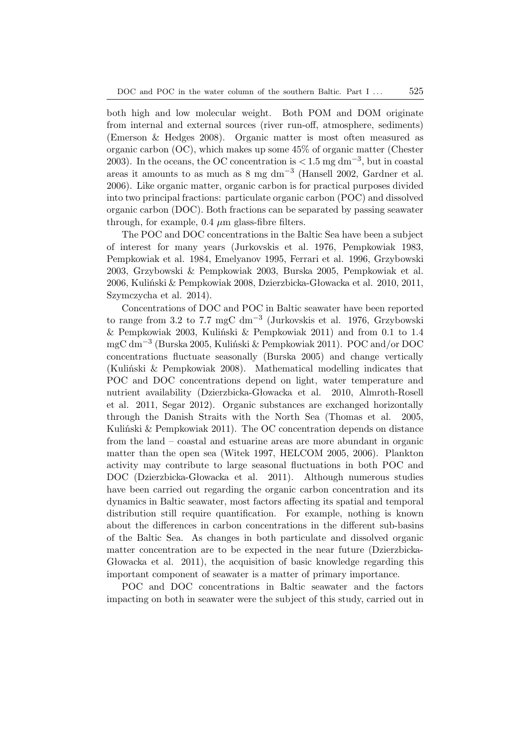both high and low molecular weight. Both POM and DOM originate from internal and external sources (river run-off, atmosphere, sediments) (Emerson & Hedges 2008). Organic matter is most often measured as organic carbon (OC), which makes up some 45% of organic matter (Chester 2003). In the oceans, the OC concentration is  $\lt 1.5$  mg dm<sup>-3</sup>, but in coastal areas it amounts to as much as 8 mg dm−<sup>3</sup> (Hansell 2002, Gardner et al. 2006). Like organic matter, organic carbon is for practical purposes divided into two principal fractions: particulate organic carbon (POC) and dissolved organic carbon (DOC). Both fractions can be separated by passing seawater through, for example,  $0.4 \mu m$  glass-fibre filters.

The POC and DOC concentrations in the Baltic Sea have been a subject of interest for many years (Jurkovskis et al. 1976, Pempkowiak 1983, Pempkowiak et al. 1984, Emelyanov 1995, Ferrari et al. 1996, Grzybowski 2003, Grzybowski & Pempkowiak 2003, Burska 2005, Pempkowiak et al. 2006, Kuliński & Pempkowiak 2008, Dzierzbicka-Głowacka et al. 2010, 2011, Szymczycha et al. 2014).

Concentrations of DOC and POC in Baltic seawater have been reported to range from 3.2 to 7.7 mgC dm−<sup>3</sup> (Jurkovskis et al. 1976, Grzybowski & Pempkowiak 2003, Kuliński & Pempkowiak 2011) and from 0.1 to 1.4 mgC dm−<sup>3</sup> (Burska 2005, Kuliński & Pempkowiak 2011). POC and/or DOC concentrations fluctuate seasonally (Burska 2005) and change vertically (Kuliński & Pempkowiak 2008). Mathematical modelling indicates that POC and DOC concentrations depend on light, water temperature and nutrient availability (Dzierzbicka-Głowacka et al. 2010, Almroth-Rosell et al. 2011, Segar 2012). Organic substances are exchanged horizontally through the Danish Straits with the North Sea (Thomas et al. 2005, Kuliński & Pempkowiak 2011). The OC concentration depends on distance from the land – coastal and estuarine areas are more abundant in organic matter than the open sea (Witek 1997, HELCOM 2005, 2006). Plankton activity may contribute to large seasonal fluctuations in both POC and DOC (Dzierzbicka-Głowacka et al. 2011). Although numerous studies have been carried out regarding the organic carbon concentration and its dynamics in Baltic seawater, most factors affecting its spatial and temporal distribution still require quantification. For example, nothing is known about the differences in carbon concentrations in the different sub-basins of the Baltic Sea. As changes in both particulate and dissolved organic matter concentration are to be expected in the near future (Dzierzbicka-Głowacka et al. 2011), the acquisition of basic knowledge regarding this important component of seawater is a matter of primary importance.

POC and DOC concentrations in Baltic seawater and the factors impacting on both in seawater were the subject of this study, carried out in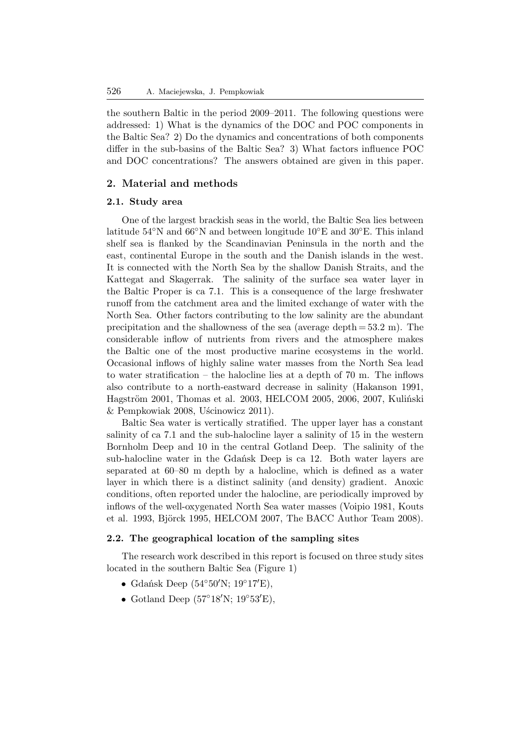the southern Baltic in the period 2009–2011. The following questions were addressed: 1) What is the dynamics of the DOC and POC components in the Baltic Sea? 2) Do the dynamics and concentrations of both components differ in the sub-basins of the Baltic Sea? 3) What factors influence POC and DOC concentrations? The answers obtained are given in this paper.

# **2. Material and methods**

# **2.1. Study area**

One of the largest brackish seas in the world, the Baltic Sea lies between latitude 54◦N and 66◦N and between longitude 10◦E and 30◦E. This inland shelf sea is flanked by the Scandinavian Peninsula in the north and the east, continental Europe in the south and the Danish islands in the west. It is connected with the North Sea by the shallow Danish Straits, and the Kattegat and Skagerrak. The salinity of the surface sea water layer in the Baltic Proper is ca 7.1. This is a consequence of the large freshwater runoff from the catchment area and the limited exchange of water with the North Sea. Other factors contributing to the low salinity are the abundant precipitation and the shallowness of the sea (average depth  $= 53.2$  m). The considerable inflow of nutrients from rivers and the atmosphere makes the Baltic one of the most productive marine ecosystems in the world. Occasional inflows of highly saline water masses from the North Sea lead to water stratification – the halocline lies at a depth of 70 m. The inflows also contribute to a north-eastward decrease in salinity (Hakanson 1991, Hagström 2001, Thomas et al. 2003, HELCOM 2005, 2006, 2007, Kuliński & Pempkowiak 2008, Uścinowicz 2011).

Baltic Sea water is vertically stratified. The upper layer has a constant salinity of ca 7.1 and the sub-halocline layer a salinity of 15 in the western Bornholm Deep and 10 in the central Gotland Deep. The salinity of the sub-halocline water in the Gdańsk Deep is ca 12. Both water layers are separated at 60–80 m depth by a halocline, which is defined as a water layer in which there is a distinct salinity (and density) gradient. Anoxic conditions, often reported under the halocline, are periodically improved by inflows of the well-oxygenated North Sea water masses (Voipio 1981, Kouts et al. 1993, Björck 1995, HELCOM 2007, The BACC Author Team 2008).

# **2.2. The geographical location of the sampling sites**

The research work described in this report is focused on three study sites located in the southern Baltic Sea (Figure 1)

- Gdańsk Deep (54◦50′N; 19◦17′E),
- Gotland Deep ( $57^{\circ}18'$ N;  $19^{\circ}53'$ E),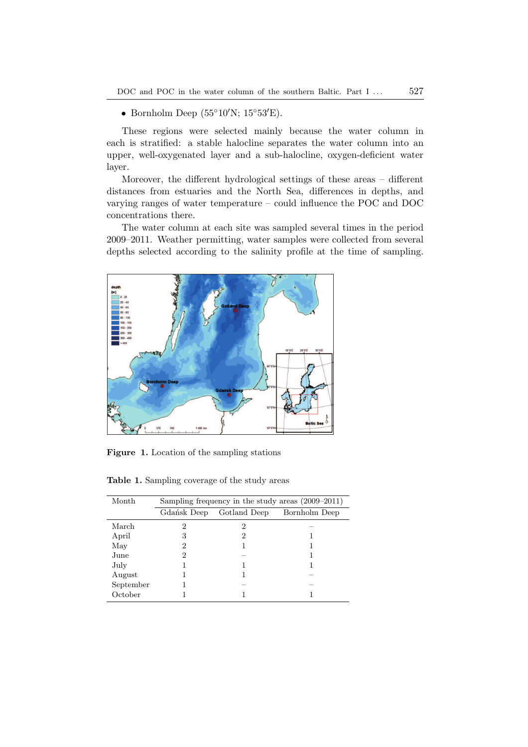• Bornholm Deep ( $55°10'$ N;  $15°53'E$ ).

These regions were selected mainly because the water column in each is stratified: a stable halocline separates the water column into an upper, well-oxygenated layer and a sub-halocline, oxygen-deficient water layer.

Moreover, the different hydrological settings of these areas – different distances from estuaries and the North Sea, differences in depths, and varying ranges of water temperature – could influence the POC and DOC concentrations there.

The water column at each site was sampled several times in the period 2009–2011. Weather permitting, water samples were collected from several depths selected according to the salinity profile at the time of sampling.



**Figure 1.** Location of the sampling stations

**Table 1.** Sampling coverage of the study areas

| Month     | Sampling frequency in the study areas (2009–2011) |              |               |  |  |  |  |
|-----------|---------------------------------------------------|--------------|---------------|--|--|--|--|
|           | Gdańsk Deep                                       | Gotland Deep | Bornholm Deep |  |  |  |  |
| March     | 2                                                 | 2            |               |  |  |  |  |
| April     | 3                                                 | 2            |               |  |  |  |  |
| May       | 2                                                 |              |               |  |  |  |  |
| June      | 2                                                 |              |               |  |  |  |  |
| July      |                                                   |              |               |  |  |  |  |
| August    |                                                   |              |               |  |  |  |  |
| September |                                                   |              |               |  |  |  |  |
| October   |                                                   |              |               |  |  |  |  |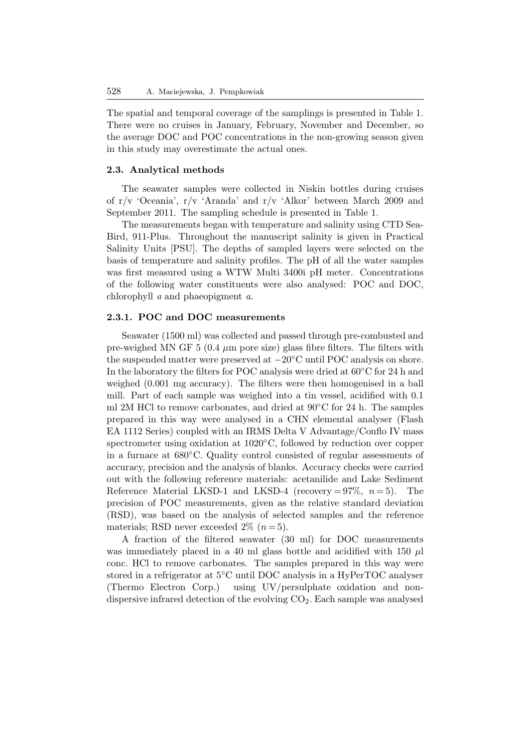The spatial and temporal coverage of the samplings is presented in Table 1. There were no cruises in January, February, November and December, so the average DOC and POC concentrations in the non-growing season given in this study may overestimate the actual ones.

#### **2.3. Analytical methods**

The seawater samples were collected in Niskin bottles during cruises of r/v 'Oceania', r/v 'Aranda' and r/v 'Alkor' between March 2009 and September 2011. The sampling schedule is presented in Table 1.

The measurements began with temperature and salinity using CTD Sea-Bird, 911-Plus. Throughout the manuscript salinity is given in Practical Salinity Units [PSU]. The depths of sampled layers were selected on the basis of temperature and salinity profiles. The pH of all the water samples was first measured using a WTW Multi 3400i pH meter. Concentrations of the following water constituents were also analysed: POC and DOC, chlorophyll *a* and phaeopigment *a*.

# **2.3.1. POC and DOC measurements**

Seawater (1500 ml) was collected and passed through pre-combusted and pre-weighed MN GF 5 (0.4  $\mu$ m pore size) glass fibre filters. The filters with the suspended matter were preserved at −20◦C until POC analysis on shore. In the laboratory the filters for POC analysis were dried at 60◦C for 24 h and weighed (0.001 mg accuracy). The filters were then homogenised in a ball mill. Part of each sample was weighed into a tin vessel, acidified with 0.1 ml 2M HCl to remove carbonates, and dried at  $90^{\circ}$ C for 24 h. The samples prepared in this way were analysed in a CHN elemental analyser (Flash EA 1112 Series) coupled with an IRMS Delta V Advantage/Conflo IV mass spectrometer using oxidation at 1020<sup>°</sup>C, followed by reduction over copper in a furnace at 680◦C. Quality control consisted of regular assessments of accuracy, precision and the analysis of blanks. Accuracy checks were carried out with the following reference materials: acetanilide and Lake Sediment Reference Material LKSD-1 and LKSD-4 (recovery =  $97\%$ ,  $n = 5$ ). The precision of POC measurements, given as the relative standard deviation (RSD), was based on the analysis of selected samples and the reference materials; RSD never exceeded  $2\%$   $(n=5)$ .

A fraction of the filtered seawater (30 ml) for DOC measurements was immediately placed in a 40 ml glass bottle and acidified with 150  $\mu$ l conc. HCl to remove carbonates. The samples prepared in this way were stored in a refrigerator at 5◦C until DOC analysis in a HyPerTOC analyser (Thermo Electron Corp.) using UV/persulphate oxidation and nondispersive infrared detection of the evolving  $CO<sub>2</sub>$ . Each sample was analysed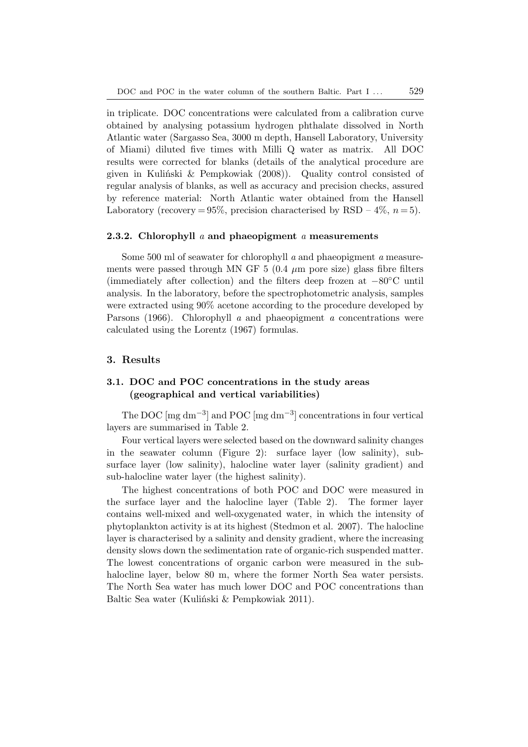in triplicate. DOC concentrations were calculated from a calibration curve obtained by analysing potassium hydrogen phthalate dissolved in North Atlantic water (Sargasso Sea, 3000 m depth, Hansell Laboratory, University of Miami) diluted five times with Milli Q water as matrix. All DOC results were corrected for blanks (details of the analytical procedure are given in Kuliński & Pempkowiak (2008)). Quality control consisted of regular analysis of blanks, as well as accuracy and precision checks, assured by reference material: North Atlantic water obtained from the Hansell Laboratory (recovery =  $95\%$ , precision characterised by RSD –  $4\%$ ,  $n = 5$ ).

#### **2.3.2. Chlorophyll** *a* **and phaeopigment** *a* **measurements**

Some 500 ml of seawater for chlorophyll *a* and phaeopigment *a* measurements were passed through MN GF 5 (0.4  $\mu$ m pore size) glass fibre filters (immediately after collection) and the filters deep frozen at  $-80^{\circ}$ C until analysis. In the laboratory, before the spectrophotometric analysis, samples were extracted using 90% acetone according to the procedure developed by Parsons (1966). Chlorophyll *a* and phaeopigment *a* concentrations were calculated using the Lorentz (1967) formulas.

#### **3. Results**

# **3.1. DOC and POC concentrations in the study areas (geographical and vertical variabilities)**

The DOC  $\left[\text{mg dm}^{-3}\right]$  and POC  $\left[\text{mg dm}^{-3}\right]$  concentrations in four vertical layers are summarised in Table 2.

Four vertical layers were selected based on the downward salinity changes in the seawater column (Figure 2): surface layer (low salinity), subsurface layer (low salinity), halocline water layer (salinity gradient) and sub-halocline water layer (the highest salinity).

The highest concentrations of both POC and DOC were measured in the surface layer and the halocline layer (Table 2). The former layer contains well-mixed and well-oxygenated water, in which the intensity of phytoplankton activity is at its highest (Stedmon et al. 2007). The halocline layer is characterised by a salinity and density gradient, where the increasing density slows down the sedimentation rate of organic-rich suspended matter. The lowest concentrations of organic carbon were measured in the subhalocline layer, below 80 m, where the former North Sea water persists. The North Sea water has much lower DOC and POC concentrations than Baltic Sea water (Kuliński & Pempkowiak 2011).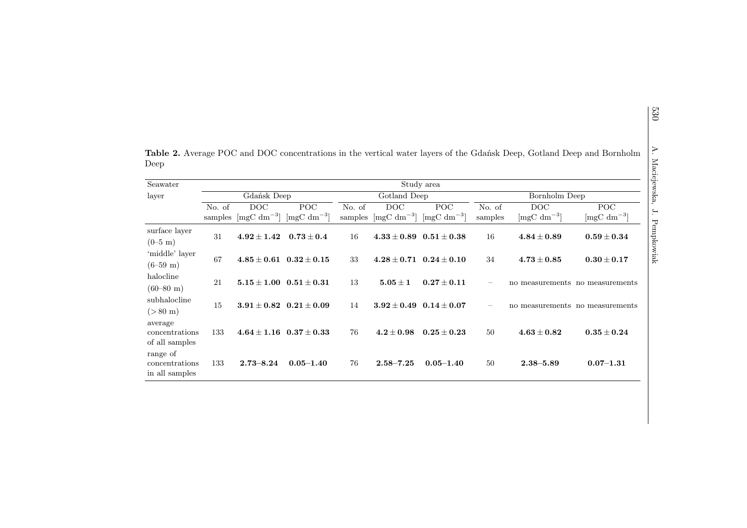| Seawater                                     | Maciejewska,<br>Study area |                                          |                                          |                   |                                          |                                                 |                   |                                 |                                                 |  |  |  |
|----------------------------------------------|----------------------------|------------------------------------------|------------------------------------------|-------------------|------------------------------------------|-------------------------------------------------|-------------------|---------------------------------|-------------------------------------------------|--|--|--|
| layer                                        | Gdańsk Deep                |                                          |                                          | Gotland Deep      |                                          |                                                 | Bornholm Deep     |                                 |                                                 |  |  |  |
|                                              | No. of<br>samples          | DOC<br>$\left[\text{mgC dm}^{-3}\right]$ | POC<br>$\left[\text{mgC dm}^{-3}\right]$ | No. of<br>samples | DOC<br>$\left[\text{mgC dm}^{-3}\right]$ | <b>POC</b><br>$\left[\text{mgC dm}^{-3}\right]$ | No. of<br>samples | DOC<br>$[mgC dm^{-3}]$          | <b>POC</b><br>$\left[\text{mgC dm}^{-3}\right]$ |  |  |  |
| surface layer<br>$(0-5$ m)                   | 31                         | $\boldsymbol{4.92\pm1.42}$               | $\mathbf{0.73} \pm \mathbf{0.4}$         | 16                |                                          | $4.33 \pm 0.89$ $0.51 \pm 0.38$                 | 16                | $4.84 \pm 0.89$                 | $0.59\pm0.34$                                   |  |  |  |
| 'middle' layer<br>$(6-59 \text{ m})$         | 67                         |                                          | $4.85 \pm 0.61$ $0.32 \pm 0.15$          | 33                |                                          | $4.28 \pm 0.71$ $0.24 \pm 0.10$                 | 34                | $\boldsymbol{4.73\pm0.85}$      | $0.30\pm0.17$                                   |  |  |  |
| halocline<br>$(60-80 \text{ m})$             | 21                         |                                          | $5.15 \pm 1.00$ $0.51 \pm 0.31$          | 13                | $5.05 \pm 1$                             | $0.27\pm0.11$                                   |                   | no measurements no measurements |                                                 |  |  |  |
| subhalocline<br>$(> 80 \text{ m})$           | 15                         |                                          | $3.91 \pm 0.82$ $0.21 \pm 0.09$          | 14                |                                          | $3.92 \pm 0.49$ $0.14 \pm 0.07$                 |                   | no measurements no measurements |                                                 |  |  |  |
| average<br>concentrations<br>of all samples  | 133                        |                                          | $4.64 \pm 1.16$ $0.37 \pm 0.33$          | 76                | $\textbf{4.2} \pm \textbf{0.98}$         | $\textbf{0.25} \pm \textbf{0.23}$               | 50                | $\bf 4.63\pm0.82$               | $0.35\pm0.24$                                   |  |  |  |
| range of<br>concentrations<br>in all samples | 133                        | $2.73 - 8.24$                            | $0.05 - 1.40$                            | 76                | $2.58 - 7.25$                            | $0.05 - 1.40$                                   | 50                | $2.38 - 5.89$                   | $0.07 - 1.31$                                   |  |  |  |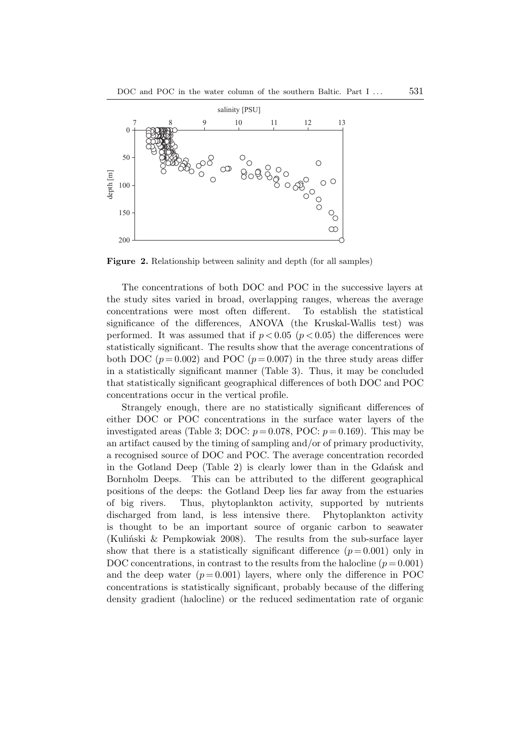

**Figure 2.** Relationship between salinity and depth (for all samples)

The concentrations of both DOC and POC in the successive layers at the study sites varied in broad, overlapping ranges, whereas the average concentrations were most often different. To establish the statistical significance of the differences, ANOVA (the Kruskal-Wallis test) was performed. It was assumed that if  $p < 0.05$  ( $p < 0.05$ ) the differences were statistically significant. The results show that the average concentrations of both DOC  $(p=0.002)$  and POC  $(p=0.007)$  in the three study areas differ in a statistically significant manner (Table 3). Thus, it may be concluded that statistically significant geographical differences of both DOC and POC concentrations occur in the vertical profile.

Strangely enough, there are no statistically significant differences of either DOC or POC concentrations in the surface water layers of the investigated areas (Table 3; DOC:  $p = 0.078$ , POC:  $p = 0.169$ ). This may be an artifact caused by the timing of sampling and/or of primary productivity, a recognised source of DOC and POC. The average concentration recorded in the Gotland Deep (Table 2) is clearly lower than in the Gdańsk and Bornholm Deeps. This can be attributed to the different geographical positions of the deeps: the Gotland Deep lies far away from the estuaries of big rivers. Thus, phytoplankton activity, supported by nutrients discharged from land, is less intensive there. Phytoplankton activity is thought to be an important source of organic carbon to seawater (Kuliński & Pempkowiak 2008). The results from the sub-surface layer show that there is a statistically significant difference  $(p=0.001)$  only in DOC concentrations, in contrast to the results from the halocline  $(p = 0.001)$ and the deep water  $(p=0.001)$  layers, where only the difference in POC concentrations is statistically significant, probably because of the differing density gradient (halocline) or the reduced sedimentation rate of organic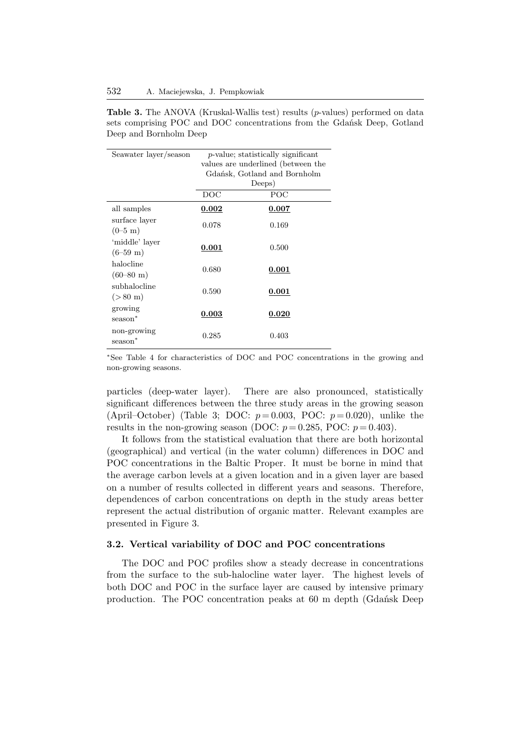**Table 3.** The ANOVA (Kruskal-Wallis test) results (*p*-values) performed on data sets comprising POC and DOC concentrations from the Gdańsk Deep, Gotland Deep and Bornholm Deep

| Seawater layer/season | $p$ -value; statistically significant |           |  |  |  |  |
|-----------------------|---------------------------------------|-----------|--|--|--|--|
|                       | values are underlined (between the    |           |  |  |  |  |
|                       | Gdańsk, Gotland and Bornholm          |           |  |  |  |  |
|                       | Deeps)                                |           |  |  |  |  |
|                       | $_{\text{DOC}}$                       | POC       |  |  |  |  |
| all samples           | $\,0.002\,$                           | $0.007\,$ |  |  |  |  |
| surface layer         | 0.078                                 | 0.169     |  |  |  |  |
| $(0-5 \; \mathrm{m})$ |                                       |           |  |  |  |  |
| 'middle' layer        |                                       |           |  |  |  |  |
| $(6-59 \text{ m})$    | 0.001                                 | 0.500     |  |  |  |  |
| halocline             |                                       |           |  |  |  |  |
| $(60 - 80$ m)         | 0.680                                 | 0.001     |  |  |  |  |
| subhalocline          |                                       |           |  |  |  |  |
| $(> 80 \text{ m})$    | 0.590                                 | 0.001     |  |  |  |  |
| growing               |                                       |           |  |  |  |  |
| season <sup>*</sup>   | $\boldsymbol{0.003}$                  | 0.020     |  |  |  |  |
| non-growing           |                                       |           |  |  |  |  |
| season <sup>*</sup>   | 0.285                                 | 0.403     |  |  |  |  |

∗ See Table 4 for characteristics of DOC and POC concentrations in the growing and non-growing seasons.

particles (deep-water layer). There are also pronounced, statistically significant differences between the three study areas in the growing season (April–October) (Table 3: DOC:  $p=0.003$ , POC:  $p=0.020$ ), unlike the results in the non-growing season (DOC:  $p = 0.285$ , POC:  $p = 0.403$ ).

It follows from the statistical evaluation that there are both horizontal (geographical) and vertical (in the water column) differences in DOC and POC concentrations in the Baltic Proper. It must be borne in mind that the average carbon levels at a given location and in a given layer are based on a number of results collected in different years and seasons. Therefore, dependences of carbon concentrations on depth in the study areas better represent the actual distribution of organic matter. Relevant examples are presented in Figure 3.

## **3.2. Vertical variability of DOC and POC concentrations**

The DOC and POC profiles show a steady decrease in concentrations from the surface to the sub-halocline water layer. The highest levels of both DOC and POC in the surface layer are caused by intensive primary production. The POC concentration peaks at 60 m depth (Gdańsk Deep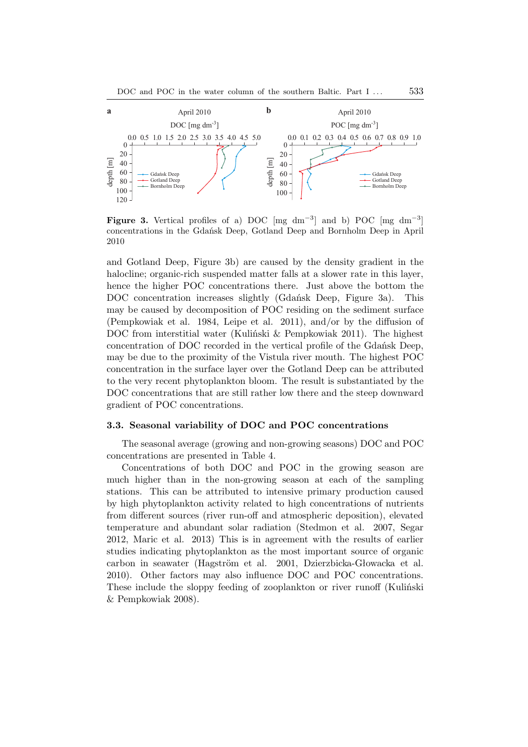

**Figure 3.** Vertical profiles of a) DOC [mg dm<sup>-3</sup>] and b) POC [mg dm<sup>-3</sup>] concentrations in the Gdańsk Deep, Gotland Deep and Bornholm Deep in April 2010

and Gotland Deep, Figure 3b) are caused by the density gradient in the halocline; organic-rich suspended matter falls at a slower rate in this layer, hence the higher POC concentrations there. Just above the bottom the DOC concentration increases slightly (Gdańsk Deep, Figure 3a). This may be caused by decomposition of POC residing on the sediment surface (Pempkowiak et al. 1984, Leipe et al. 2011), and/or by the diffusion of DOC from interstitial water (Kuliński & Pempkowiak 2011). The highest concentration of DOC recorded in the vertical profile of the Gdańsk Deep, may be due to the proximity of the Vistula river mouth. The highest POC concentration in the surface layer over the Gotland Deep can be attributed to the very recent phytoplankton bloom. The result is substantiated by the DOC concentrations that are still rather low there and the steep downward gradient of POC concentrations.

# **3.3. Seasonal variability of DOC and POC concentrations**

The seasonal average (growing and non-growing seasons) DOC and POC concentrations are presented in Table 4.

Concentrations of both DOC and POC in the growing season are much higher than in the non-growing season at each of the sampling stations. This can be attributed to intensive primary production caused by high phytoplankton activity related to high concentrations of nutrients from different sources (river run-off and atmospheric deposition), elevated temperature and abundant solar radiation (Stedmon et al. 2007, Segar 2012, Maric et al. 2013) This is in agreement with the results of earlier studies indicating phytoplankton as the most important source of organic carbon in seawater (Hagström et al. 2001, Dzierzbicka-Głowacka et al. 2010). Other factors may also influence DOC and POC concentrations. These include the sloppy feeding of zooplankton or river runoff (Kuliński & Pempkowiak 2008).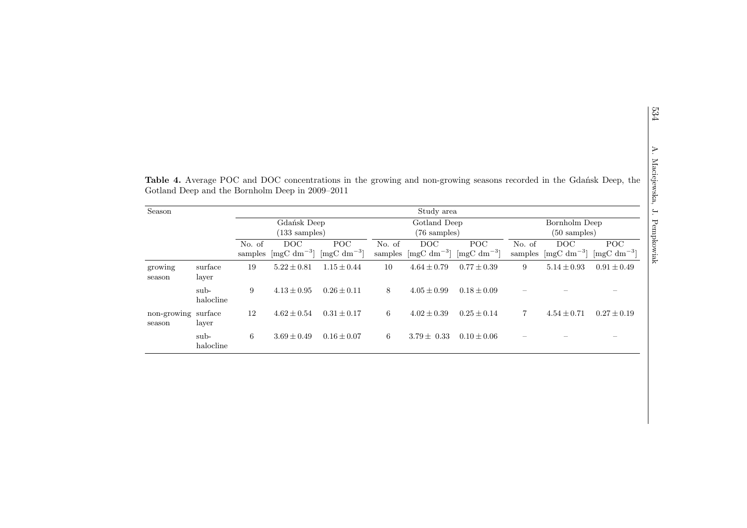|                               |                   |                   | Gotland Deep and the Bornholm Deep in 2009–2011 |                                                 |                   |                                          |                                                 |                                         |                                          | <b>Table 4.</b> Average POC and DOC concentrations in the growing and non-growing seasons recorded in the Gdańsk Deep, the |
|-------------------------------|-------------------|-------------------|-------------------------------------------------|-------------------------------------------------|-------------------|------------------------------------------|-------------------------------------------------|-----------------------------------------|------------------------------------------|----------------------------------------------------------------------------------------------------------------------------|
| Season                        |                   |                   |                                                 |                                                 |                   | Study area                               |                                                 |                                         |                                          |                                                                                                                            |
|                               |                   |                   | Gdańsk Deep<br>$(133 \text{ samples})$          |                                                 |                   | Gotland Deep<br>$(76 \text{ samples})$   |                                                 | Bornholm Deep<br>$(50 \text{ samples})$ |                                          |                                                                                                                            |
|                               |                   | No. of<br>samples | DOC.<br>$\left[\text{mgC dm}^{-3}\right]$       | <b>POC</b><br>$\left[\text{mgC dm}^{-3}\right]$ | No. of<br>samples | DOC<br>$\left[\text{mgC dm}^{-3}\right]$ | <b>POC</b><br>$\left[\text{mgC dm}^{-3}\right]$ | No. of<br>samples                       | DOC<br>$\left[\text{mgC dm}^{-3}\right]$ | POC<br>$\left[\text{mgC dm}^{-3}\right]$                                                                                   |
| growing<br>season             | surface<br>layer  | 19                | $5.22 \pm 0.81$                                 | $1.15 \pm 0.44$                                 | 10                | $4.64 \pm 0.79$                          | $0.77 \pm 0.39$                                 | 9                                       | $5.14 \pm 0.93$                          | $0.91 \pm 0.49$                                                                                                            |
|                               | sub-<br>halocline | 9                 | $4.13 \pm 0.95$                                 | $0.26 \pm 0.11$                                 | 8                 | $4.05 \pm 0.99$                          | $0.18 \pm 0.09$                                 |                                         |                                          |                                                                                                                            |
| non-growing surface<br>season | layer             | 12                | $4.62 \pm 0.54$                                 | $0.31 \pm 0.17$                                 | 6                 | $4.02 \pm 0.39$                          | $0.25 \pm 0.14$                                 | 7                                       | $4.54 \pm 0.71$                          | $0.27 \pm 0.19$                                                                                                            |
|                               | sub-<br>halocline | 6                 | $3.69 \pm 0.49$                                 | $0.16 \pm 0.07$                                 | 6                 | $3.79 \pm 0.33$                          | $0.10 \pm 0.06$                                 |                                         |                                          |                                                                                                                            |

534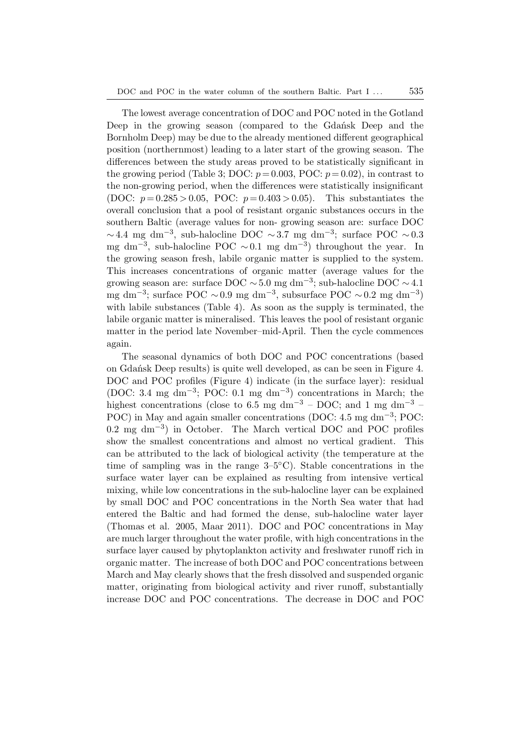The lowest average concentration of DOC and POC noted in the Gotland Deep in the growing season (compared to the Gdańsk Deep and the Bornholm Deep) may be due to the already mentioned different geographical position (northernmost) leading to a later start of the growing season. The differences between the study areas proved to be statistically significant in the growing period (Table 3; DOC:  $p = 0.003$ , POC:  $p = 0.02$ ), in contrast to the non-growing period, when the differences were statistically insignificant (DOC:  $p = 0.285 > 0.05$ , POC:  $p = 0.403 > 0.05$ ). This substantiates the overall conclusion that a pool of resistant organic substances occurs in the southern Baltic (average values for non- growing season are: surface DOC  $\sim$  4.4 mg dm<sup>-3</sup>, sub-halocline DOC  $\sim$  3.7 mg dm<sup>-3</sup>; surface POC  $\sim$  0.3 mg dm<sup>-3</sup>, sub-halocline POC ~0.1 mg dm<sup>-3</sup>) throughout the year. In the growing season fresh, labile organic matter is supplied to the system. This increases concentrations of organic matter (average values for the growing season are: surface DOC  $\sim 5.0$  mg dm<sup>-3</sup>; sub-halocline DOC  $\sim 4.1$ mg dm<sup>-3</sup>; surface POC ~0.9 mg dm<sup>-3</sup>, subsurface POC ~0.2 mg dm<sup>-3</sup>) with labile substances (Table 4). As soon as the supply is terminated, the labile organic matter is mineralised. This leaves the pool of resistant organic matter in the period late November–mid-April. Then the cycle commences again.

The seasonal dynamics of both DOC and POC concentrations (based on Gdańsk Deep results) is quite well developed, as can be seen in Figure 4. DOC and POC profiles (Figure 4) indicate (in the surface layer): residual (DOC: 3.4 mg dm−<sup>3</sup> ; POC: 0.1 mg dm−<sup>3</sup> ) concentrations in March; the highest concentrations (close to 6.5 mg dm<sup>-3</sup> – DOC; and 1 mg dm<sup>-3</sup> – POC) in May and again smaller concentrations (DOC: 4.5 mg dm<sup>−3</sup>; POC: 0.2 mg dm−<sup>3</sup> ) in October. The March vertical DOC and POC profiles show the smallest concentrations and almost no vertical gradient. This can be attributed to the lack of biological activity (the temperature at the time of sampling was in the range  $3-5\degree C$ ). Stable concentrations in the surface water layer can be explained as resulting from intensive vertical mixing, while low concentrations in the sub-halocline layer can be explained by small DOC and POC concentrations in the North Sea water that had entered the Baltic and had formed the dense, sub-halocline water layer (Thomas et al. 2005, Maar 2011). DOC and POC concentrations in May are much larger throughout the water profile, with high concentrations in the surface layer caused by phytoplankton activity and freshwater runoff rich in organic matter. The increase of both DOC and POC concentrations between March and May clearly shows that the fresh dissolved and suspended organic matter, originating from biological activity and river runoff, substantially increase DOC and POC concentrations. The decrease in DOC and POC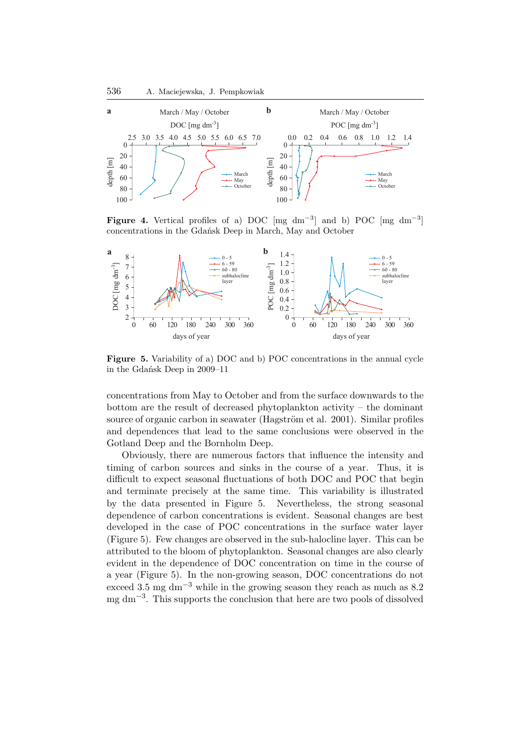

**Figure 4.** Vertical profiles of a) DOC [mg dm<sup>-3</sup>] and b) POC [mg dm<sup>-3</sup>] concentrations in the Gdańsk Deep in March, May and October



**Figure 5.** Variability of a) DOC and b) POC concentrations in the annual cycle in the Gdańsk Deep in 2009–11

concentrations from May to October and from the surface downwards to the bottom are the result of decreased phytoplankton activity – the dominant source of organic carbon in seawater (Hagström et al. 2001). Similar profiles and dependences that lead to the same conclusions were observed in the Gotland Deep and the Bornholm Deep.

Obviously, there are numerous factors that influence the intensity and timing of carbon sources and sinks in the course of a year. Thus, it is difficult to expect seasonal fluctuations of both DOC and POC that begin and terminate precisely at the same time. This variability is illustrated by the data presented in Figure 5. Nevertheless, the strong seasonal dependence of carbon concentrations is evident. Seasonal changes are best developed in the case of POC concentrations in the surface water layer (Figure 5). Few changes are observed in the sub-halocline layer. This can be attributed to the bloom of phytoplankton. Seasonal changes are also clearly evident in the dependence of DOC concentration on time in the course of a year (Figure 5). In the non-growing season, DOC concentrations do not exceed 3.5 mg dm<sup>-3</sup> while in the growing season they reach as much as  $8.2$ mg dm−<sup>3</sup> . This supports the conclusion that here are two pools of dissolved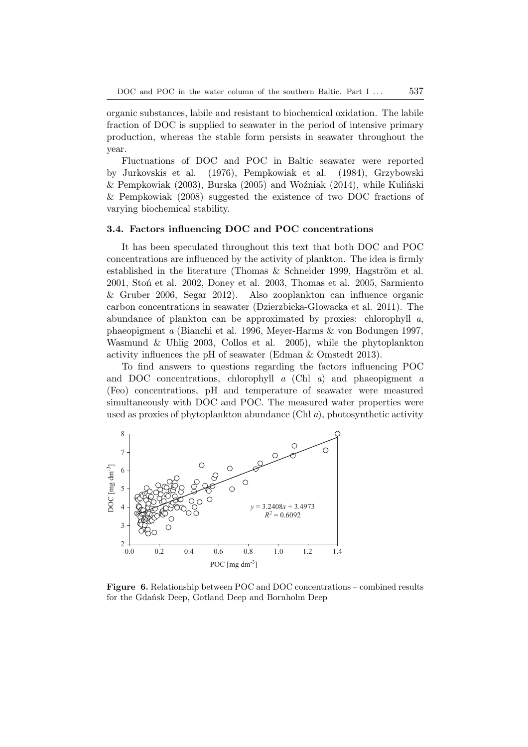organic substances, labile and resistant to biochemical oxidation. The labile fraction of DOC is supplied to seawater in the period of intensive primary production, whereas the stable form persists in seawater throughout the year.

Fluctuations of DOC and POC in Baltic seawater were reported by Jurkovskis et al. (1976), Pempkowiak et al. (1984), Grzybowski & Pempkowiak (2003), Burska (2005) and Woźniak (2014), while Kuliński & Pempkowiak (2008) suggested the existence of two DOC fractions of varying biochemical stability.

## **3.4. Factors influencing DOC and POC concentrations**

It has been speculated throughout this text that both DOC and POC concentrations are influenced by the activity of plankton. The idea is firmly established in the literature (Thomas  $&$  Schneider 1999, Hagström et al. 2001, Stoń et al. 2002, Doney et al. 2003, Thomas et al. 2005, Sarmiento & Gruber 2006, Segar 2012). Also zooplankton can influence organic carbon concentrations in seawater (Dzierzbicka-Głowacka et al. 2011). The abundance of plankton can be approximated by proxies: chlorophyll *a*, phaeopigment *a* (Bianchi et al. 1996, Meyer-Harms & von Bodungen 1997, Wasmund & Uhlig 2003, Collos et al. 2005), while the phytoplankton activity influences the pH of seawater (Edman & Omstedt 2013).

To find answers to questions regarding the factors influencing POC and DOC concentrations, chlorophyll *a* (Chl *a*) and phaeopigment *a* (Feo) concentrations, pH and temperature of seawater were measured simultaneously with DOC and POC. The measured water properties were used as proxies of phytoplankton abundance (Chl *a*), photosynthetic activity



**Figure 6.** Relationship between POC and DOC concentrations – combined results for the Gdańsk Deep, Gotland Deep and Bornholm Deep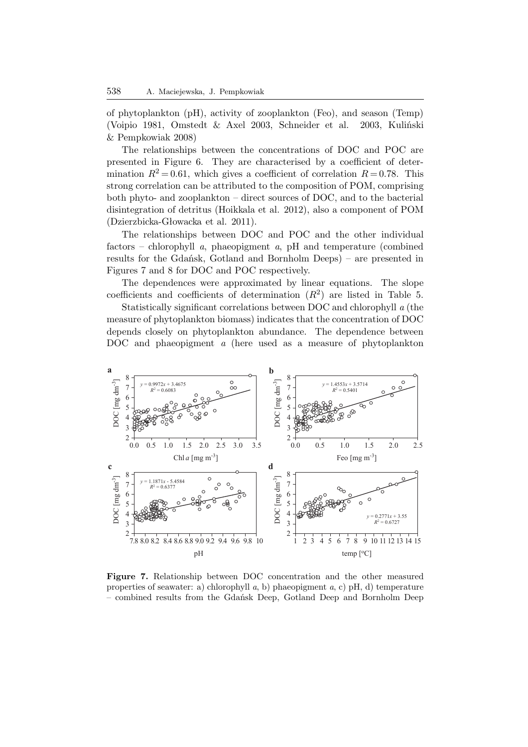of phytoplankton (pH), activity of zooplankton (Feo), and season (Temp) (Voipio 1981, Omstedt & Axel 2003, Schneider et al. 2003, Kuliński & Pempkowiak 2008)

The relationships between the concentrations of DOC and POC are presented in Figure 6. They are characterised by a coefficient of determination  $R^2 = 0.61$ , which gives a coefficient of correlation  $R = 0.78$ . This strong correlation can be attributed to the composition of POM, comprising both phyto- and zooplankton – direct sources of DOC, and to the bacterial disintegration of detritus (Hoikkala et al. 2012), also a component of POM (Dzierzbicka-Głowacka et al. 2011).

The relationships between DOC and POC and the other individual factors – chlorophyll *a*, phaeopigment *a*, pH and temperature (combined results for the Gdańsk, Gotland and Bornholm Deeps) – are presented in Figures 7 and 8 for DOC and POC respectively.

The dependences were approximated by linear equations. The slope coefficients and coefficients of determination  $(R^2)$  are listed in Table 5.

Statistically significant correlations between DOC and chlorophyll *a* (the measure of phytoplankton biomass) indicates that the concentration of DOC depends closely on phytoplankton abundance. The dependence between DOC and phaeopigment *a* (here used as a measure of phytoplankton



**Figure 7.** Relationship between DOC concentration and the other measured properties of seawater: a) chlorophyll *a*, b) phaeopigment *a*, c) pH, d) temperature – combined results from the Gdańsk Deep, Gotland Deep and Bornholm Deep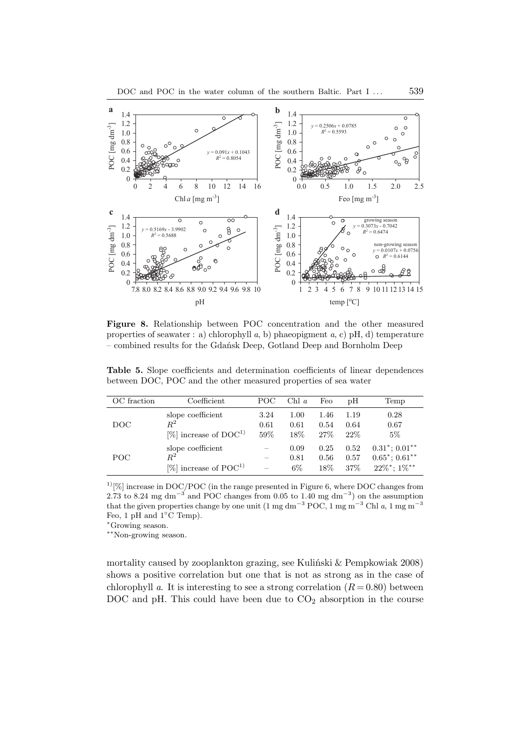

**Figure 8.** Relationship between POC concentration and the other measured properties of seawater : a) chlorophyll *a*, b) phaeopigment *a*, c) pH, d) temperature – combined results for the Gdańsk Deep, Gotland Deep and Bornholm Deep

**Table 5.** Slope coefficients and determination coefficients of linear dependences between DOC, POC and the other measured properties of sea water

| OC fraction | Coefficient                                                        | POC                 | Chl a                 | Feo                    | pΗ                     | Temp                                                                                       |
|-------------|--------------------------------------------------------------------|---------------------|-----------------------|------------------------|------------------------|--------------------------------------------------------------------------------------------|
| DOC         | slope coefficient<br>$R^2$<br>$[\%]$ increase of DOC <sup>1)</sup> | 3.24<br>0.61<br>59% | 1.00<br>0.61<br>18%   | 1.46<br>0.54<br>27%    | 1.19<br>0.64<br>$22\%$ | 0.28<br>0.67<br>5%                                                                         |
| POC.        | slope coefficient<br>$R^2$<br>[%] increase of $POC1$               |                     | 0.09<br>0.81<br>$6\%$ | 0.25<br>0.56<br>$18\%$ | 0.52<br>0.57<br>37%    | $0.31^*; 0.01^{**}$<br>$0.65^*$ ; $0.61^{**}$<br>$22\%$ <sup>*</sup> ; $1\%$ <sup>**</sup> |

 $1\,$ [%] increase in DOC/POC (in the range presented in Figure 6, where DOC changes from  $2.73$  to 8.24 mg dm<sup>-3</sup> and POC changes from 0.05 to 1.40 mg dm<sup>-3</sup>) on the assumption that the given properties change by one unit (1 mg dm<sup>-3</sup> POC, 1 mg m<sup>-3</sup> Chl *a*, 1 mg m<sup>-3</sup> Feo, 1 pH and 1◦C Temp).

<sup>∗</sup>Growing season.

∗∗Non-growing season.

mortality caused by zooplankton grazing, see Kuliński & Pempkowiak 2008) shows a positive correlation but one that is not as strong as in the case of chlorophyll *a*. It is interesting to see a strong correlation  $(R = 0.80)$  between DOC and pH. This could have been due to  $CO<sub>2</sub>$  absorption in the course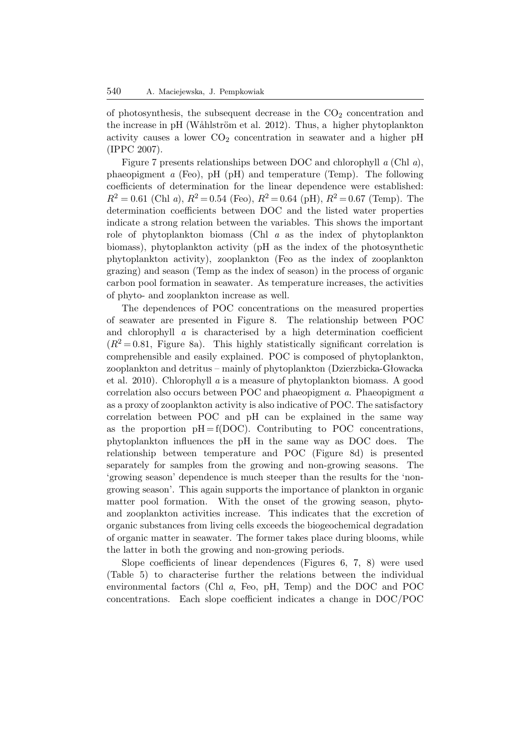of photosynthesis, the subsequent decrease in the  $CO<sub>2</sub>$  concentration and the increase in pH (Wåhlström et al. 2012). Thus, a higher phytoplankton activity causes a lower  $CO<sub>2</sub>$  concentration in seawater and a higher pH (IPPC 2007).

Figure 7 presents relationships between DOC and chlorophyll *a* (Chl *a*), phaeopigment *a* (Feo), pH (pH) and temperature (Temp). The following coefficients of determination for the linear dependence were established:  $R^2 = 0.61$  (Chl *a*),  $R^2 = 0.54$  (Feo),  $R^2 = 0.64$  (pH),  $R^2 = 0.67$  (Temp). The determination coefficients between DOC and the listed water properties indicate a strong relation between the variables. This shows the important role of phytoplankton biomass (Chl *a* as the index of phytoplankton biomass), phytoplankton activity (pH as the index of the photosynthetic phytoplankton activity), zooplankton (Feo as the index of zooplankton grazing) and season (Temp as the index of season) in the process of organic carbon pool formation in seawater. As temperature increases, the activities of phyto- and zooplankton increase as well.

The dependences of POC concentrations on the measured properties of seawater are presented in Figure 8. The relationship between POC and chlorophyll *a* is characterised by a high determination coefficient  $(R^2 = 0.81,$  Figure 8a). This highly statistically significant correlation is comprehensible and easily explained. POC is composed of phytoplankton, zooplankton and detritus – mainly of phytoplankton (Dzierzbicka-Głowacka et al. 2010). Chlorophyll *a* is a measure of phytoplankton biomass. A good correlation also occurs between POC and phaeopigment *a*. Phaeopigment *a* as a proxy of zooplankton activity is also indicative of POC. The satisfactory correlation between POC and pH can be explained in the same way as the proportion  $pH = f(DOC)$ . Contributing to POC concentrations, phytoplankton influences the pH in the same way as DOC does. The relationship between temperature and POC (Figure 8d) is presented separately for samples from the growing and non-growing seasons. The 'growing season' dependence is much steeper than the results for the 'nongrowing season'. This again supports the importance of plankton in organic matter pool formation. With the onset of the growing season, phytoand zooplankton activities increase. This indicates that the excretion of organic substances from living cells exceeds the biogeochemical degradation of organic matter in seawater. The former takes place during blooms, while the latter in both the growing and non-growing periods.

Slope coefficients of linear dependences (Figures 6, 7, 8) were used (Table 5) to characterise further the relations between the individual environmental factors (Chl *a*, Feo, pH, Temp) and the DOC and POC concentrations. Each slope coefficient indicates a change in DOC/POC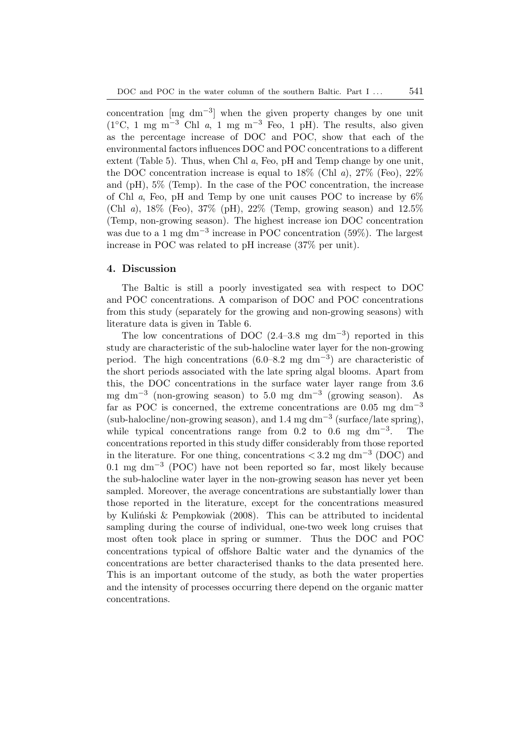concentration  $\lceil \text{mg dm}^{-3} \rceil$  when the given property changes by one unit (1◦C, 1 mg m−<sup>3</sup> Chl *a*, 1 mg m−<sup>3</sup> Feo, 1 pH). The results, also given as the percentage increase of DOC and POC, show that each of the environmental factors influences DOC and POC concentrations to a different extent (Table 5). Thus, when Chl *a*, Feo, pH and Temp change by one unit, the DOC concentration increase is equal to 18% (Chl *a*), 27% (Feo), 22% and (pH), 5% (Temp). In the case of the POC concentration, the increase of Chl *a*, Feo, pH and Temp by one unit causes POC to increase by 6% (Chl *a*), 18% (Feo), 37% (pH), 22% (Temp, growing season) and 12.5% (Temp, non-growing season). The highest increase ion DOC concentration was due to a 1 mg dm−<sup>3</sup> increase in POC concentration (59%). The largest increase in POC was related to pH increase (37% per unit).

#### **4. Discussion**

The Baltic is still a poorly investigated sea with respect to DOC and POC concentrations. A comparison of DOC and POC concentrations from this study (separately for the growing and non-growing seasons) with literature data is given in Table 6.

The low concentrations of DOC  $(2.4-3.8 \text{ mg dm}^{-3})$  reported in this study are characteristic of the sub-halocline water layer for the non-growing period. The high concentrations  $(6.0-8.2 \text{ mg dm}^{-3})$  are characteristic of the short periods associated with the late spring algal blooms. Apart from this, the DOC concentrations in the surface water layer range from 3.6 mg dm−<sup>3</sup> (non-growing season) to 5.0 mg dm−<sup>3</sup> (growing season). As far as POC is concerned, the extreme concentrations are  $0.05 \text{ mg dm}^{-3}$ (sub-halocline/non-growing season), and 1.4 mg dm−<sup>3</sup> (surface/late spring), while typical concentrations range from  $0.2$  to  $0.6$  mg dm<sup>-3</sup>. The concentrations reported in this study differ considerably from those reported in the literature. For one thing, concentrations  $\langle 3.2 \text{ mg dm}^{-3} \text{ (DOC)}$  and 0.1 mg dm−<sup>3</sup> (POC) have not been reported so far, most likely because the sub-halocline water layer in the non-growing season has never yet been sampled. Moreover, the average concentrations are substantially lower than those reported in the literature, except for the concentrations measured by Kuliński & Pempkowiak (2008). This can be attributed to incidental sampling during the course of individual, one-two week long cruises that most often took place in spring or summer. Thus the DOC and POC concentrations typical of offshore Baltic water and the dynamics of the concentrations are better characterised thanks to the data presented here. This is an important outcome of the study, as both the water properties and the intensity of processes occurring there depend on the organic matter concentrations.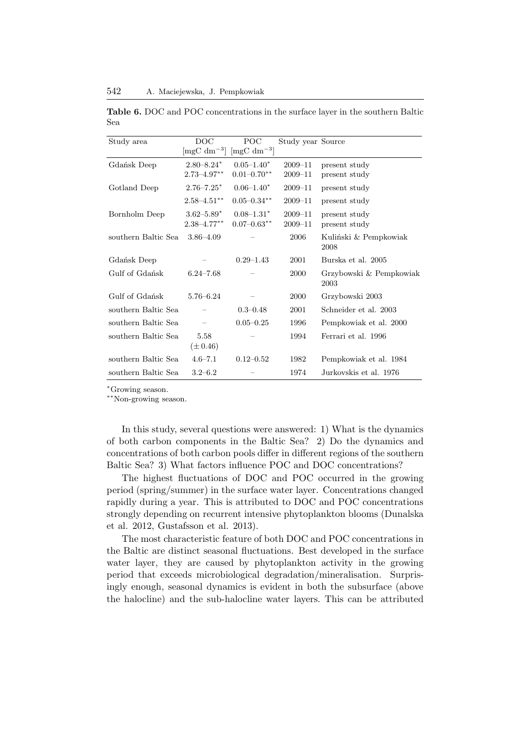**Table 6.** DOC and POC concentrations in the surface layer in the southern Baltic Sea

| Study area          | $_{\text{DOC}}$                   | POC                               | Study year Source |                                 |
|---------------------|-----------------------------------|-----------------------------------|-------------------|---------------------------------|
|                     | $\left[\text{mgC dm}^{-3}\right]$ | $\left[\text{mgC dm}^{-3}\right]$ |                   |                                 |
| Gdańsk Deep         | $2.80 - 8.24*$                    | $0.05 - 1.40*$                    | $2009 - 11$       | present study                   |
|                     | $2.73 - 4.97**$                   | $0.01 - 0.70**$                   | $2009 - 11$       | present study                   |
| Gotland Deep        | $2.76 - 7.25^*$                   | $0.06 - 1.40^*$                   | $2009 - 11$       | present study                   |
|                     | $2.58 - 4.51$ **                  | $0.05 - 0.34$ **                  | $2009 - 11$       | present study                   |
| Bornholm Deep       | $3.62 - 5.89^*$                   | $0.08 - 1.31*$                    | $2009 - 11$       | present study                   |
|                     | $2.38 - 4.77***$                  | $0.07 - 0.63$ **                  | $2009 - 11$       | present study                   |
| southern Baltic Sea | $3.86 - 4.09$                     |                                   | 2006              | Kuliński & Pempkowiak<br>2008   |
| Gdańsk Deep         |                                   | $0.29 - 1.43$                     | 2001              | Burska et al. 2005              |
| Gulf of Gdańsk      | $6.24 - 7.68$                     |                                   | 2000              | Grzybowski & Pempkowiak<br>2003 |
| Gulf of Gdańsk      | $5.76 - 6.24$                     |                                   | 2000              | Grzybowski 2003                 |
| southern Baltic Sea |                                   | $0.3 - 0.48$                      | 2001              | Schneider et al. 2003           |
| southern Baltic Sea |                                   | $0.05 - 0.25$                     | 1996              | Pempkowiak et al. 2000          |
| southern Baltic Sea | 5.58<br>$(\pm 0.46)$              |                                   | 1994              | Ferrari et al. 1996             |
| southern Baltic Sea | $4.6 - 7.1$                       | $0.12 - 0.52$                     | 1982              | Pempkowiak et al. 1984          |
| southern Baltic Sea | $3.2 - 6.2$                       |                                   | 1974              | Jurkovskis et al. 1976          |

<sup>∗</sup>Growing season.

∗∗Non-growing season.

In this study, several questions were answered: 1) What is the dynamics of both carbon components in the Baltic Sea? 2) Do the dynamics and concentrations of both carbon pools differ in different regions of the southern Baltic Sea? 3) What factors influence POC and DOC concentrations?

The highest fluctuations of DOC and POC occurred in the growing period (spring/summer) in the surface water layer. Concentrations changed rapidly during a year. This is attributed to DOC and POC concentrations strongly depending on recurrent intensive phytoplankton blooms (Dunalska et al. 2012, Gustafsson et al. 2013).

The most characteristic feature of both DOC and POC concentrations in the Baltic are distinct seasonal fluctuations. Best developed in the surface water layer, they are caused by phytoplankton activity in the growing period that exceeds microbiological degradation/mineralisation. Surprisingly enough, seasonal dynamics is evident in both the subsurface (above the halocline) and the sub-halocline water layers. This can be attributed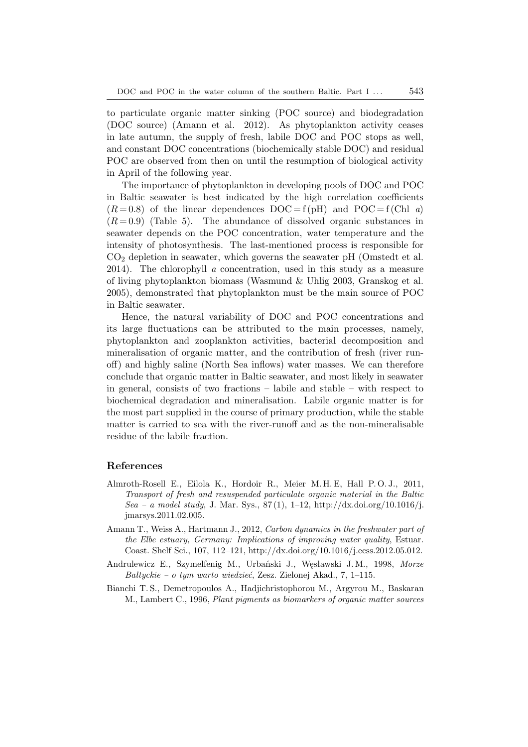to particulate organic matter sinking (POC source) and biodegradation (DOC source) (Amann et al. 2012). As phytoplankton activity ceases in late autumn, the supply of fresh, labile DOC and POC stops as well, and constant DOC concentrations (biochemically stable DOC) and residual POC are observed from then on until the resumption of biological activity in April of the following year.

The importance of phytoplankton in developing pools of DOC and POC in Baltic seawater is best indicated by the high correlation coefficients  $(R=0.8)$  of the linear dependences  $DOC = f (pH)$  and  $POC = f (Chl a)$  $(R=0.9)$  (Table 5). The abundance of dissolved organic substances in seawater depends on the POC concentration, water temperature and the intensity of photosynthesis. The last-mentioned process is responsible for  $CO<sub>2</sub>$  depletion in seawater, which governs the seawater pH (Omstedt et al. 2014). The chlorophyll *a* concentration, used in this study as a measure of living phytoplankton biomass (Wasmund & Uhlig 2003, Granskog et al. 2005), demonstrated that phytoplankton must be the main source of POC in Baltic seawater.

Hence, the natural variability of DOC and POC concentrations and its large fluctuations can be attributed to the main processes, namely, phytoplankton and zooplankton activities, bacterial decomposition and mineralisation of organic matter, and the contribution of fresh (river runoff) and highly saline (North Sea inflows) water masses. We can therefore conclude that organic matter in Baltic seawater, and most likely in seawater in general, consists of two fractions – labile and stable – with respect to biochemical degradation and mineralisation. Labile organic matter is for the most part supplied in the course of primary production, while the stable matter is carried to sea with the river-runoff and as the non-mineralisable residue of the labile fraction.

#### **References**

- Almroth-Rosell E., Eilola K., Hordoir R., Meier M. H. E, Hall P. O. J., 2011, *Transport of fresh and resuspended particulate organic material in the Baltic Sea – a model study*, J. Mar. Sys., 87 (1), 1–12, http://dx.doi.org/10.1016/j. jmarsys.2011.02.005.
- Amann T., Weiss A., Hartmann J., 2012, *Carbon dynamics in the freshwater part of the Elbe estuary, Germany: Implications of improving water quality*, Estuar. Coast. Shelf Sci., 107, 112–121, http://dx.doi.org/10.1016/j.ecss.2012.05.012.
- Andrulewicz E., Szymelfenig M., Urbański J., Węsławski J. M., 1998, *Morze Bałtyckie – o tym warto wiedzieć*, Zesz. Zielonej Akad., 7, 1–115.
- Bianchi T. S., Demetropoulos A., Hadjichristophorou M., Argyrou M., Baskaran M., Lambert C., 1996, *Plant pigments as biomarkers of organic matter sources*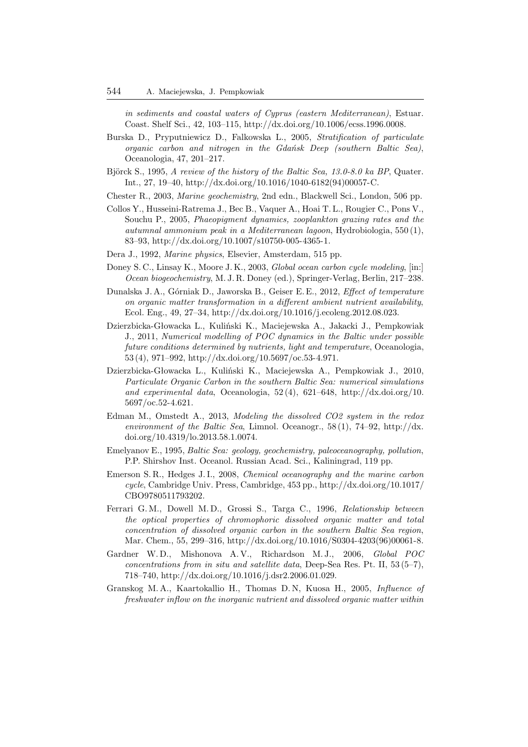*in sediments and coastal waters of Cyprus (eastern Mediterranean)*, Estuar. Coast. Shelf Sci., 42, 103–115, http://dx.doi.org/10.1006/ecss.1996.0008.

- Burska D., Pryputniewicz D., Falkowska L., 2005, *Stratification of particulate organic carbon and nitrogen in the Gdańsk Deep (southern Baltic Sea)*, Oceanologia, 47, 201–217.
- Björck S., 1995, *A review of the history of the Baltic Sea, 13.0-8.0 ka BP*, Quater. Int., 27, 19–40, http://dx.doi.org/10.1016/1040-6182(94)00057-C.
- Chester R., 2003, *Marine geochemistry*, 2nd edn., Blackwell Sci., London, 506 pp.
- Collos Y., Husseini-Ratrema J., Bec B., Vaquer A., Hoai T. L., Rougier C., Pons V., Souchu P., 2005, *Phaeopigment dynamics, zooplankton grazing rates and the autumnal ammonium peak in a Mediterranean lagoon*, Hydrobiologia, 550 (1), 83–93, http://dx.doi.org/10.1007/s10750-005-4365-1.
- Dera J., 1992, *Marine physics*, Elsevier, Amsterdam, 515 pp.
- Doney S. C., Linsay K., Moore J. K., 2003, *Global ocean carbon cycle modeling*, [in:] *Ocean biogeochemistry*, M. J. R. Doney (ed.), Springer-Verlag, Berlin, 217–238.
- Dunalska J. A., Górniak D., Jaworska B., Geiser E. E., 2012, *Effect of temperature on organic matter transformation in a different ambient nutrient availability*, Ecol. Eng., 49, 27–34, http://dx.doi.org/10.1016/j.ecoleng.2012.08.023.
- Dzierzbicka-Głowacka L., Kuliński K., Maciejewska A., Jakacki J., Pempkowiak J., 2011, *Numerical modelling of POC dynamics in the Baltic under possible future conditions determined by nutrients, light and temperature*, Oceanologia, 53 (4), 971–992, http://dx.doi.org/10.5697/oc.53-4.971.
- Dzierzbicka-Głowacka L., Kuliński K., Maciejewska A., Pempkowiak J., 2010, *Particulate Organic Carbon in the southern Baltic Sea: numerical simulations and experimental data*, Oceanologia, 52 (4), 621–648, http://dx.doi.org/10. 5697/oc.52-4.621.
- Edman M., Omstedt A., 2013, *Modeling the dissolved CO2 system in the redox environment of the Baltic Sea*, Limnol. Oceanogr., 58 (1), 74–92, http://dx. doi.org/10.4319/lo.2013.58.1.0074.
- Emelyanov E., 1995, *Baltic Sea: geology, geochemistry, paleoceanography, pollution*, P.P. Shirshov Inst. Oceanol. Russian Acad. Sci., Kaliningrad, 119 pp.
- Emerson S. R., Hedges J. I., 2008, *Chemical oceanography and the marine carbon cycle*, Cambridge Univ. Press, Cambridge, 453 pp., http://dx.doi.org/10.1017/ CBO9780511793202.
- Ferrari G. M., Dowell M. D., Grossi S., Targa C., 1996, *Relationship between the optical properties of chromophoric dissolved organic matter and total concentration of dissolved organic carbon in the southern Baltic Sea region*, Mar. Chem., 55, 299–316, http://dx.doi.org/10.1016/S0304-4203(96)00061-8.
- Gardner W. D., Mishonova A. V., Richardson M. J., 2006, *Global POC concentrations from in situ and satellite data*, Deep-Sea Res. Pt. II, 53 (5–7), 718–740, http://dx.doi.org/10.1016/j.dsr2.2006.01.029.
- Granskog M. A., Kaartokallio H., Thomas D. N, Kuosa H., 2005, *Influence of freshwater inflow on the inorganic nutrient and dissolved organic matter within*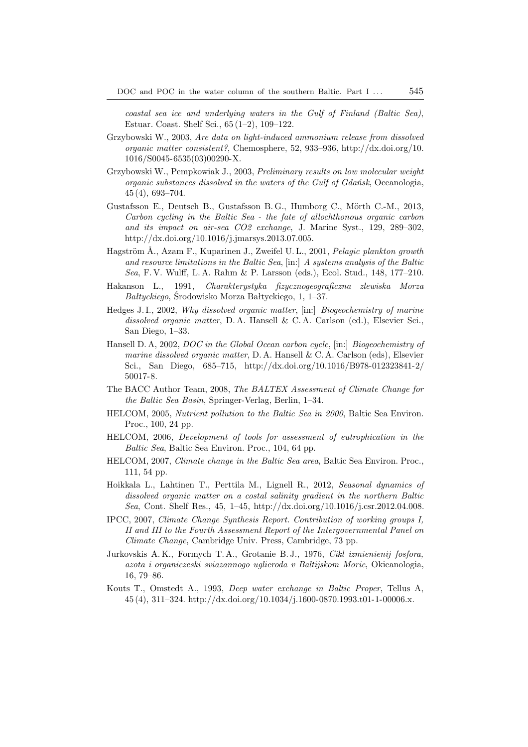*coastal sea ice and underlying waters in the Gulf of Finland (Baltic Sea)*, Estuar. Coast. Shelf Sci., 65 (1–2), 109–122.

- Grzybowski W., 2003, *Are data on light-induced ammonium release from dissolved organic matter consistent?*, Chemosphere, 52, 933–936, http://dx.doi.org/10. 1016/S0045-6535(03)00290-X.
- Grzybowski W., Pempkowiak J., 2003, *Preliminary results on low molecular weight organic substances dissolved in the waters of the Gulf of Gdańsk*, Oceanologia, 45 (4), 693–704.
- Gustafsson E., Deutsch B., Gustafsson B. G., Humborg C., Mörth C.-M., 2013, *Carbon cycling in the Baltic Sea - the fate of allochthonous organic carbon and its impact on air-sea CO2 exchange*, J. Marine Syst., 129, 289–302, http://dx.doi.org/10.1016/j.jmarsys.2013.07.005.
- Hagström Å., Azam F., Kuparinen J., Zweifel U.L., 2001, *Pelagic plankton growth and resource limitations in the Baltic Sea*, [in:] *A systems analysis of the Baltic Sea*, F. V. Wulff, L. A. Rahm & P. Larsson (eds.), Ecol. Stud., 148, 177–210.
- Hakanson L., 1991, *Charakterystyka fizycznogeograficzna zlewiska Morza Bałtyckiego*, Środowisko Morza Bałtyckiego, 1, 1–37.
- Hedges J. I., 2002, *Why dissolved organic matter*, [in:] *Biogeochemistry of marine dissolved organic matter*, D. A. Hansell & C. A. Carlson (ed.), Elsevier Sci., San Diego, 1–33.
- Hansell D. A, 2002, *DOC in the Global Ocean carbon cycle*, [in:] *Biogeochemistry of marine dissolved organic matter*, D. A. Hansell & C. A. Carlson (eds), Elsevier Sci., San Diego, 685–715, http://dx.doi.org/10.1016/B978-012323841-2/ 50017-8.
- The BACC Author Team, 2008, *The BALTEX Assessment of Climate Change for the Baltic Sea Basin*, Springer-Verlag, Berlin, 1–34.
- HELCOM, 2005, *Nutrient pollution to the Baltic Sea in 2000*, Baltic Sea Environ. Proc., 100, 24 pp.
- HELCOM, 2006, *Development of tools for assessment of eutrophication in the Baltic Sea*, Baltic Sea Environ. Proc., 104, 64 pp.
- HELCOM, 2007, *Climate change in the Baltic Sea area*, Baltic Sea Environ. Proc., 111, 54 pp.
- Hoikkala L., Lahtinen T., Perttila M., Lignell R., 2012, *Seasonal dynamics of dissolved organic matter on a costal salinity gradient in the northern Baltic Sea*, Cont. Shelf Res., 45, 1–45, http://dx.doi.org/10.1016/j.csr.2012.04.008.
- IPCC, 2007, *Climate Change Synthesis Report. Contribution of working groups I, II and III to the Fourth Assessment Report of the Intergovernmental Panel on Climate Change*, Cambridge Univ. Press, Cambridge, 73 pp.
- Jurkovskis A. K., Formych T. A., Grotanie B. J., 1976, *Cikl izmienienij fosfora, azota i organiczeski sviazannogo uglieroda v Baltijskom Morie*, Okieanologia, 16, 79–86.
- Kouts T., Omstedt A., 1993, *Deep water exchange in Baltic Proper*, Tellus A, 45 (4), 311–324. http://dx.doi.org/10.1034/j.1600-0870.1993.t01-1-00006.x.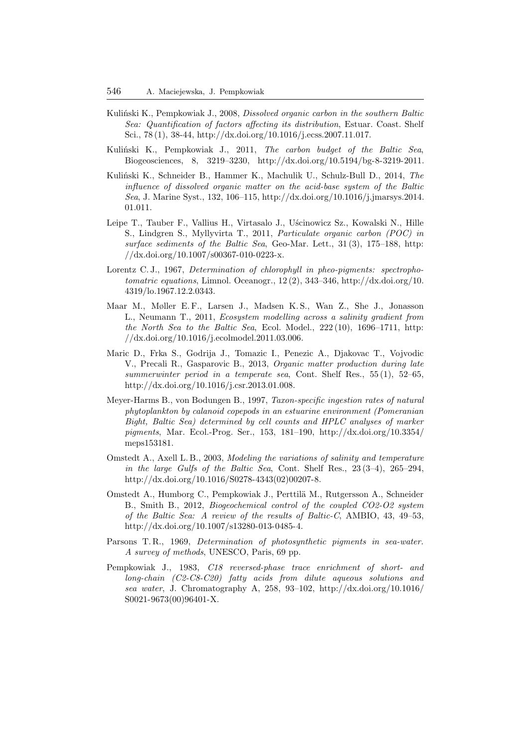- Kuliński K., Pempkowiak J., 2008, *Dissolved organic carbon in the southern Baltic Sea: Quantification of factors affecting its distribution*, Estuar. Coast. Shelf Sci., 78 (1), 38-44, http://dx.doi.org/10.1016/j.ecss.2007.11.017.
- Kuliński K., Pempkowiak J., 2011, *The carbon budget of the Baltic Sea*, Biogeosciences, 8, 3219–3230, http://dx.doi.org/10.5194/bg-8-3219-2011.
- Kuliński K., Schneider B., Hammer K., Machulik U., Schulz-Bull D., 2014, *The influence of dissolved organic matter on the acid-base system of the Baltic Sea*, J. Marine Syst., 132, 106–115, http://dx.doi.org/10.1016/j.jmarsys.2014. 01.011.
- Leipe T., Tauber F., Vallius H., Virtasalo J., Uścinowicz Sz., Kowalski N., Hille S., Lindgren S., Myllyvirta T., 2011, *Particulate organic carbon (POC) in surface sediments of the Baltic Sea*, Geo-Mar. Lett., 31 (3), 175–188, http: //dx.doi.org/10.1007/s00367-010-0223-x.
- Lorentz C. J., 1967, *Determination of chlorophyll in pheo-pigments: spectrophotomatric equations*, Limnol. Oceanogr., 12 (2), 343–346, http://dx.doi.org/10. 4319/lo.1967.12.2.0343.
- Maar M., Møller E.F., Larsen J., Madsen K.S., Wan Z., She J., Jonasson L., Neumann T., 2011, *Ecosystem modelling across a salinity gradient from the North Sea to the Baltic Sea*, Ecol. Model., 222 (10), 1696–1711, http: //dx.doi.org/10.1016/j.ecolmodel.2011.03.006.
- Maric D., Frka S., Godrija J., Tomazic I., Penezic A., Djakovac T., Vojvodic V., Precali R., Gasparovic B., 2013, *Organic matter production during late summerwinter period in a temperate sea*, Cont. Shelf Res., 55 (1), 52–65, http://dx.doi.org/10.1016/j.csr.2013.01.008.
- Meyer-Harms B., von Bodungen B., 1997, *Taxon-specific ingestion rates of natural phytoplankton by calanoid copepods in an estuarine environment (Pomeranian Bight, Baltic Sea) determined by cell counts and HPLC analyses of marker pigments*, Mar. Ecol.-Prog. Ser., 153, 181–190, http://dx.doi.org/10.3354/ meps153181.
- Omstedt A., Axell L. B., 2003, *Modeling the variations of salinity and temperature in the large Gulfs of the Baltic Sea*, Cont. Shelf Res., 23 (3–4), 265–294, http://dx.doi.org/10.1016/S0278-4343(02)00207-8.
- Omstedt A., Humborg C., Pempkowiak J., Perttilä M., Rutgersson A., Schneider B., Smith B., 2012, *Biogeochemical control of the coupled CO2-O2 system of the Baltic Sea: A review of the results of Baltic-C*, AMBIO, 43, 49–53, http://dx.doi.org/10.1007/s13280-013-0485-4.
- Parsons T. R., 1969, *Determination of photosynthetic pigments in sea-water. A survey of methods*, UNESCO, Paris, 69 pp.
- Pempkowiak J., 1983, *C18 reversed-phase trace enrichment of short- and long-chain (C2-C8-C20) fatty acids from dilute aqueous solutions and sea water*, J. Chromatography A, 258, 93–102, http://dx.doi.org/10.1016/ S0021-9673(00)96401-X.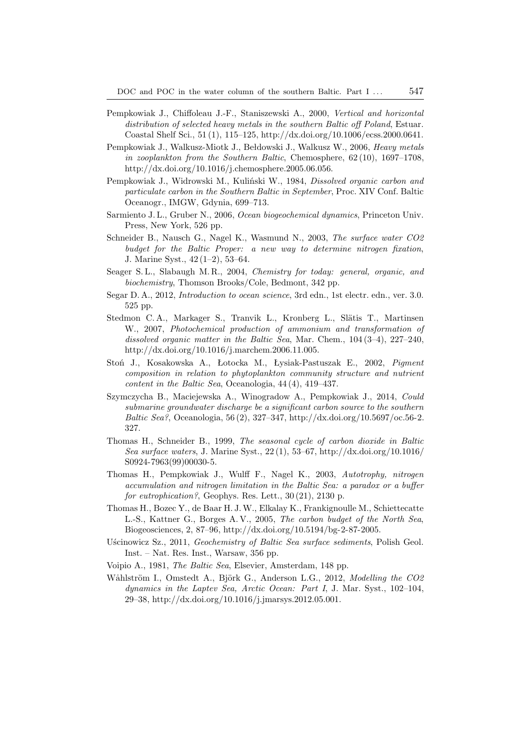- Pempkowiak J., Chiffoleau J.-F., Staniszewski A., 2000, *Vertical and horizontal distribution of selected heavy metals in the southern Baltic off Poland*, Estuar. Coastal Shelf Sci., 51 (1), 115–125, http://dx.doi.org/10.1006/ecss.2000.0641.
- Pempkowiak J., Walkusz-Miotk J., Bełdowski J., Walkusz W., 2006, *Heavy metals in zooplankton from the Southern Baltic*, Chemosphere, 62 (10), 1697–1708, http://dx.doi.org/10.1016/j.chemosphere.2005.06.056.
- Pempkowiak J., Widrowski M., Kuliński W., 1984, *Dissolved organic carbon and particulate carbon in the Southern Baltic in September*, Proc. XIV Conf. Baltic Oceanogr., IMGW, Gdynia, 699–713.
- Sarmiento J. L., Gruber N., 2006, *Ocean biogeochemical dynamics*, Princeton Univ. Press, New York, 526 pp.
- Schneider B., Nausch G., Nagel K., Wasmund N., 2003, *The surface water CO2 budget for the Baltic Proper: a new way to determine nitrogen fixation*, J. Marine Syst., 42 (1–2), 53–64.
- Seager S. L., Slabaugh M. R., 2004, *Chemistry for today: general, organic, and biochemistry*, Thomson Brooks/Cole, Bedmont, 342 pp.
- Segar D. A., 2012, *Introduction to ocean science*, 3rd edn., 1st electr. edn., ver. 3.0. 525 pp.
- Stedmon C. A., Markager S., Tranvik L., Kronberg L., Slätis T., Martinsen W., 2007, *Photochemical production of ammonium and transformation of dissolved organic matter in the Baltic Sea*, Mar. Chem., 104 (3–4), 227–240, http://dx.doi.org/10.1016/j.marchem.2006.11.005.
- Stoń J., Kosakowska A., Łotocka M., Łysiak-Pastuszak E., 2002, *Pigment composition in relation to phytoplankton community structure and nutrient content in the Baltic Sea*, Oceanologia, 44 (4), 419–437.
- Szymczycha B., Maciejewska A., Winogradow A., Pempkowiak J., 2014, *Could submarine groundwater discharge be a significant carbon source to the southern Baltic Sea?*, Oceanologia, 56 (2), 327–347, http://dx.doi.org/10.5697/oc.56-2. 327.
- Thomas H., Schneider B., 1999, *The seasonal cycle of carbon dioxide in Baltic Sea surface waters*, J. Marine Syst., 22 (1), 53–67, http://dx.doi.org/10.1016/ S0924-7963(99)00030-5.
- Thomas H., Pempkowiak J., Wulff F., Nagel K., 2003, *Autotrophy, nitrogen accumulation and nitrogen limitation in the Baltic Sea: a paradox or a buffer for eutrophication?*, Geophys. Res. Lett., 30 (21), 2130 p.
- Thomas H., Bozec Y., de Baar H. J.W., Elkalay K., Frankignoulle M., Schiettecatte L.-S., Kattner G., Borges A. V., 2005, *The carbon budget of the North Sea*, Biogeosciences, 2, 87–96, http://dx.doi.org/10.5194/bg-2-87-2005.
- Uścinowicz Sz., 2011, *Geochemistry of Baltic Sea surface sediments*, Polish Geol. Inst. – Nat. Res. Inst., Warsaw, 356 pp.
- Voipio A., 1981, *The Baltic Sea*, Elsevier, Amsterdam, 148 pp.
- Wåhlström I., Omstedt A., Björk G., Anderson L.G., 2012, *Modelling the CO2 dynamics in the Laptev Sea, Arctic Ocean: Part I*, J. Mar. Syst., 102–104, 29–38, http://dx.doi.org/10.1016/j.jmarsys.2012.05.001.